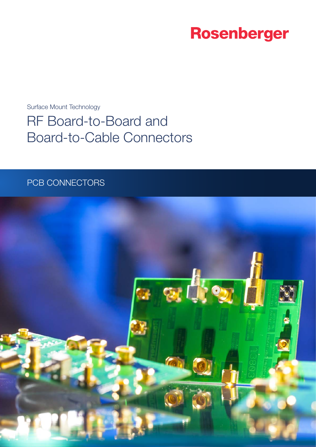# Rosenberger

Surface Mount Technology

RF Board-to-Board and Board-to-Cable Connectors

PCB CONNECTORS

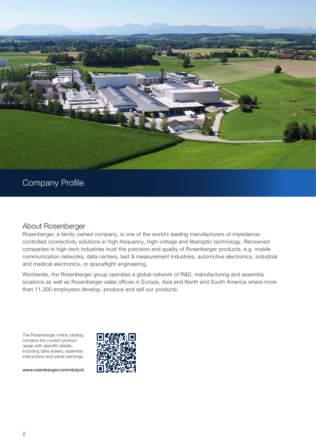

# Company Profile

## About Rosenberger

Rosenberger, a family owned company, is one of the world's leading manufacturers of impedancecontrolled connectivity solutions in high-frequency, high-voltage and fiberoptic technology. Renowned companies in high-tech industries trust the precision and quality of Rosenberger products, e.g. mobile communication networks, data centers, test & measurement industries, automotive electronics, industrial and medical electronics, or spaceflight engineering.

Worldwide, the Rosenberger group operates a global network of R&D, manufacturing and assembly locations as well as Rosenberger sales offices in Europe, Asia and North and South America where more than 11,300 employees develop, produce and sell our products.

The Rosenberger online catalog contains the current product range with specific details, including data sheets, assembly instructions and panel piercings.

www.rosenberger.com/ok/pcb

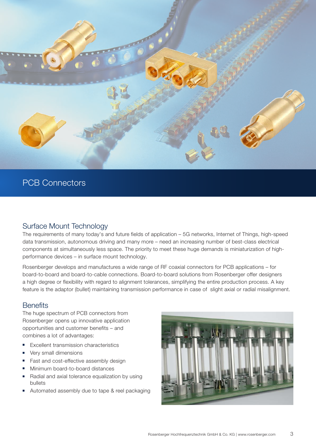

# PCB Connectors

# Surface Mount Technology

The requirements of many today's and future fields of application – 5G networks, Internet of Things, high-speed data transmission, autonomous driving and many more – need an increasing number of best-class electrical components at simultaneously less space. The priority to meet these huge demands is miniaturization of highperformance devices – in surface mount technology.

Rosenberger develops and manufactures a wide range of RF coaxial connectors for PCB applications – for board-to-board and board-to-cable connections. Board-to-board solutions from Rosenberger offer designers a high degree or flexibility with regard to alignment tolerances, simplifying the entire production process. A key feature is the adaptor (bullet) maintaining transmission performance in case of slight axial or radial misalignment.

# **Benefits**

The huge spectrum of PCB connectors from Rosenberger opens up innovative application opportunities and customer benefits – and combines a lot of advantages:

- Excellent transmission characteristics
- Very small dimensions
- Fast and cost-effective assembly design
- Minimum board-to-board distances
- Radial and axial tolerance equalization by using bullets
- Automated assembly due to tape & reel packaging

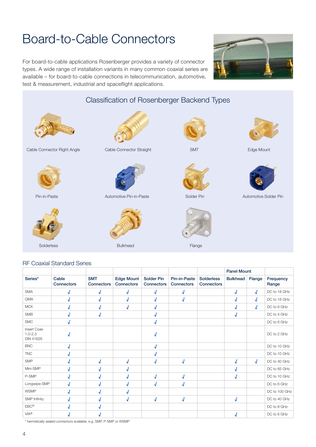# Board-to-Cable Connectors

For board-to-cable applications Rosenberger provides a variety of connector types. A wide range of installation variants in many common coaxial series are available – for board-to-cable connections in telecommunication, automotive, test & measurement, industrial and spaceflight applications.





### RF Coaxial Standard Series

|                                                |                            |                          |                                        |                                        |                            |                                        | <b>Panel Mount</b> |        |                    |
|------------------------------------------------|----------------------------|--------------------------|----------------------------------------|----------------------------------------|----------------------------|----------------------------------------|--------------------|--------|--------------------|
| Series*                                        | Cable<br><b>Connectors</b> | <b>SMT</b><br>Connectors | <b>Edge Mount</b><br><b>Connectors</b> | <b>Solder Pin</b><br><b>Connectors</b> | Pin-in-Paste<br>Connectors | <b>Solderless</b><br><b>Connectors</b> | <b>Bulkhead</b>    | Flange | Frequency<br>Range |
| <b>SMA</b>                                     |                            |                          |                                        | √                                      |                            |                                        | √                  | √      | DC to 18 GHz       |
| QMA                                            |                            |                          |                                        | √                                      |                            |                                        | √                  | √      | DC to 18 GHz       |
| MCX                                            |                            |                          |                                        |                                        |                            |                                        | N                  | √      | DC to 6 GHz        |
| <b>SMB</b>                                     |                            |                          |                                        |                                        |                            |                                        | s                  |        | DC to 4 GHz        |
| <b>SMC</b>                                     |                            |                          |                                        |                                        |                            |                                        |                    |        | DC to 6 GHz        |
| <b>Insert Coax</b><br>$1.0 - 2.3$<br>DIN 41626 |                            |                          |                                        |                                        |                            |                                        |                    |        | DC to 2 GHz        |
| <b>BNC</b>                                     |                            |                          |                                        |                                        |                            |                                        |                    |        | DC to 10 GHz       |
| <b>TNC</b>                                     |                            |                          |                                        |                                        |                            |                                        |                    |        | DC to 10 GHz       |
| <b>SMP</b>                                     |                            | √                        | √                                      |                                        | √                          |                                        | √                  | √      | DC to 40 GHz       |
| Mini-SMP                                       |                            |                          |                                        |                                        |                            |                                        |                    |        | DC to 65 GHz       |
| P-SMP                                          |                            |                          |                                        |                                        |                            |                                        |                    |        | DC to 10 GHz       |
| Longwipe-SMP                                   |                            |                          |                                        |                                        |                            |                                        |                    |        | DC to 6 GHz        |
| <b>WSMP</b>                                    |                            |                          |                                        |                                        |                            |                                        |                    |        | DC to 100 GHz      |
| SMP Infinity                                   |                            |                          |                                        | √                                      |                            |                                        |                    |        | DC to 40 GHz       |
| EBC®                                           |                            |                          |                                        |                                        |                            |                                        |                    |        | DC to 8 GHz        |
| $VIA^{\circledR}$                              |                            |                          |                                        |                                        |                            |                                        |                    |        | DC to 6 GHz        |

\* hermetically sealed connectors available, e.g. SMP, P-SMP or WSMP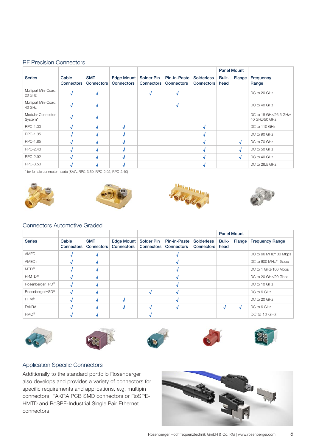### RF Precision Connectors

|                                          |                            |                                 |                                 |                          |                                   |                                        | <b>Panel Mount</b>      |   |                                         |  |
|------------------------------------------|----------------------------|---------------------------------|---------------------------------|--------------------------|-----------------------------------|----------------------------------------|-------------------------|---|-----------------------------------------|--|
| <b>Series</b>                            | Cable<br><b>Connectors</b> | <b>SMT</b><br><b>Connectors</b> | Edge Mount<br><b>Connectors</b> | Solder Pin<br>Connectors | Pin-in-Paste<br><b>Connectors</b> | <b>Solderless</b><br><b>Connectors</b> | Bulk-<br>Flange<br>head |   | Frequency<br>Range                      |  |
| Multiport Mini-Coax,<br>20 GHz           |                            |                                 |                                 |                          |                                   |                                        |                         |   | DC to 20 GHz                            |  |
| Multiport Mini-Coax,<br>40 GHz           |                            |                                 |                                 |                          |                                   |                                        |                         |   | DC to 40 GHz                            |  |
| Modular Connector<br>System <sup>*</sup> |                            |                                 |                                 |                          |                                   |                                        |                         |   | DC to 18 GHz/26.5 GHz/<br>40 GHz/50 GHz |  |
| RPC-1.00                                 |                            |                                 |                                 |                          |                                   |                                        |                         |   | DC to 110 GHz                           |  |
| RPC-1.35                                 |                            |                                 |                                 |                          |                                   |                                        |                         |   | DC to 90 GHz                            |  |
| RPC-1.85                                 |                            |                                 |                                 |                          |                                   |                                        |                         |   | DC to 70 GHz                            |  |
| RPC-2.40                                 |                            |                                 |                                 |                          |                                   |                                        |                         | J | DC to 50 GHz                            |  |
| RPC-2.92                                 |                            |                                 |                                 |                          |                                   |                                        |                         | J | DC to 40 GHz                            |  |
| RPC-3.50                                 |                            |                                 |                                 |                          |                                   |                                        |                         |   | DC to 26.5 GHz                          |  |

\* for female connector heads (SMA, RPC-3.50, RPC-2.92, RPC-2.40)









### Connectors Automotive Graded

|                     |                     |                                 |                                 |                                        |                                   |                                        | <b>Panel Mount</b> |        |                        |  |
|---------------------|---------------------|---------------------------------|---------------------------------|----------------------------------------|-----------------------------------|----------------------------------------|--------------------|--------|------------------------|--|
| <b>Series</b>       | Cable<br>Connectors | <b>SMT</b><br><b>Connectors</b> | Edge Mount<br><b>Connectors</b> | <b>Solder Pin</b><br><b>Connectors</b> | Pin-in-Paste<br><b>Connectors</b> | <b>Solderless</b><br><b>Connectors</b> | Bulk-<br>head      | Flange | <b>Frequency Range</b> |  |
| AMEC                |                     |                                 |                                 |                                        |                                   |                                        |                    |        | DC to 66 MHz/100 Mbps  |  |
| AMEC+               |                     |                                 |                                 |                                        |                                   |                                        |                    |        | DC to 600 MHz/1 Gbps   |  |
| $MTD^*$             |                     |                                 |                                 |                                        |                                   |                                        |                    |        | DC to 1 GHz/100 Mbps   |  |
| $H-MTD^{\circledR}$ |                     |                                 |                                 |                                        |                                   |                                        |                    |        | DC to 20 GHz/20 Gbps   |  |
| RosenbergerHPD®     |                     |                                 |                                 |                                        |                                   |                                        |                    |        | DC to 10 GHz           |  |
| RosenbergerHSD®     |                     |                                 |                                 |                                        |                                   |                                        |                    |        | DC to 6 GHz            |  |
| HFM®                |                     |                                 |                                 |                                        |                                   |                                        |                    |        | DC to 20 GHz           |  |
| <b>FAKRA</b>        |                     |                                 |                                 |                                        |                                   |                                        | N                  | J      | DC to 6 GHz            |  |
| <b>RMC®</b>         |                     |                                 |                                 |                                        |                                   |                                        |                    |        | DC to 12 GHz           |  |











### Application Specific Connectors

Additionally to the standard portfolio Rosenberger also develops and provides a variety of connectors for specific requirements and applications, e.g. multipin connectors, FAKRA PCB SMD connectors or RoSPE-HMTD and RoSPE-Industrial Single Pair Ethernet connectors.

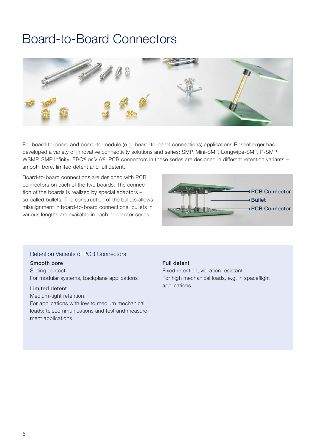# Board-to-Board Connectors



For board-to-board and board-to-module (e.g. board-to-panel connections) applications Rosenberger has developed a variety of innovative connectivity solutions and series: SMP, Mini-SMP, Longwipe-SMP, P-SMP, WSMP, SMP Infinity, EBC® or VIA®, PCB connectors in these series are designed in different retention variants – smooth bore, limited detent and full detent.

Board-to-board connections are designed with PCB connectors on each of the two boards. The connection of the boards is realized by special adaptors – so-called bullets. The construction of the bullets allows misalignment in board-to-board connections, bullets in various lengths are available in each connector series.



## Retention Variants of PCB Connectors

Smooth bore Sliding contact For modular systems, backplane applications

### Limited detent

Medium-tight retention For applications with low to medium mechanical loads: telecommunications and test and measurement applications

#### Full detent

Fixed retention, vibration resistant For high mechanical loads, e.g. in spaceflight applications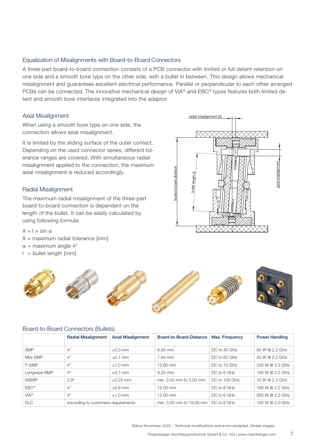### Equalization of Misalignments with Board-to-Board Connectors

A three-part board-to-board connection consists of a PCB connector with limited or full detent retention on one side and a smooth bore type on the other side, with a bullet in between. This design allows mechanical misalignment and guarantees excellent electrical performance. Parallel or perpendicular to each other arranged PCBs can be connected. The innovative mechanical design of VIA® and EBC® types features both limited detent and smooth bore interfaces integrated into the adaptor

### Axial Misalignment

When using a smooth bore type on one side, the connection allows axial misalignment.

It is limited by the sliding surface of the outer contact. Depending on the used connector series, different tolerance ranges are covered. With simultaneous radial misalignment applied to the connection, the maximum axial misalignment is reduced accordingly.

### Radial Misalignment

The maximum radial misalignment of the three-part board-to-board connection is dependent on the length of the bullet. It can be easily calculated by using following formula:

- $X = 1 \times \sin \alpha$
- $X =$  maximum radial tolerance [mm]
- $\alpha$  = maximum angle 4°
- $l =$  bullet length  $[mm]$





#### Board-to-Board Connectors (Bullets)

|                  | <b>Radial Misalignment</b>          | <b>Axial Misalignment</b> | Board-to-Board-Distance  | Max. Frequency | <b>Power Handling</b> |  |  |  |  |
|------------------|-------------------------------------|---------------------------|--------------------------|----------------|-----------------------|--|--|--|--|
| <b>SMP</b>       | $4^\circ$                           | $\pm 0.3$ mm              | $9.05$ mm                | DC to 40 GHz   | 65 W @ 2.2 GHz        |  |  |  |  |
| Mini-SMP         | $4^\circ$                           | $\pm 0.1$ mm              | 7.94 mm                  | DC to 65 GHz   | 50 W @ 2.2 GHz        |  |  |  |  |
| P-SMP            | $4^\circ$                           | $±1.0$ mm                 | $12.60$ mm               | DC to 10 GHz   | 200 W @ 2.2 GHz       |  |  |  |  |
| Longwipe-SMP     | $4^\circ$                           | $\pm 0.7$ mm              | $9.25$ mm                | DC to 6 GHz    | 100 W @ 2.2 GHz       |  |  |  |  |
| <b>WSMP</b>      | $2.9^\circ$                         | $\pm 0.25$ mm             | min. 3.00 mm to 5.00 mm  | DC to 100 GHz  | 10 W @ 2.2 GHz        |  |  |  |  |
| EBC®             | $4^\circ$                           | $\pm 0.8$ mm              | $12.00 \, \text{mm}$     | DC to 8 GHz    | 100 W @ 2.2 GHz       |  |  |  |  |
| VIA <sup>®</sup> | $4^\circ$                           | $±1.0$ mm                 | $12.00 \, \text{mm}$     | DC to 6 GHz    | 260 W @ 2.2 GHz       |  |  |  |  |
| <b>SLC</b>       | according to customers requirements |                           | min. 3.00 mm to 15.00 mm | DC to 6 GHz    | 100 W @ 2.0 GHz       |  |  |  |  |
|                  |                                     |                           |                          |                |                       |  |  |  |  |

Status November 2020 – Technical modifications and errors excepted. Similar images.